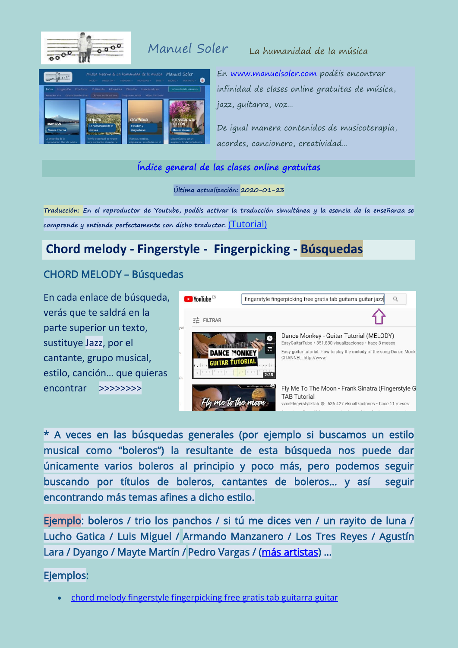

## Manuel Soler La humanidad de la música



En [www.manuelsoler.com](http://www.manuelsoler.com/) podéis encontrar infinidad de clases online gratuitas de música, jazz, guitarra, voz…

De igual manera contenidos de musicoterapia, acordes, cancionero, creatividad…

### **[Índice general de las clases online gratuitas](https://www.manuelsoler.com/profesional/clases_online_gratuitas.html)**

**Última actualización: 2020-01-23**

**Traducción: En el reproductor de Youtube, podéis activar la traducción simultánea y la esencia de la enseñanza se comprende y entiende perfectamente con dicho traductor.** [\(Tutorial\)](https://www.manuelsoler.com/profesional/clases_online_gratuitas/_tutorial_traduccion_simultanea_youtube.pdf)

# **Chord melody - Fingerstyle - Fingerpicking - Búsquedas**

## CHORD MELODY – Búsquedas

En cada enlace de búsqueda, verás que te saldrá en la parte superior un texto, sustituye Jazz, por el cantante, grupo musical, estilo, canción… que quieras encontrar >>>>>>>>



\* A veces en las búsquedas generales (por ejemplo si buscamos un estilo musical como "boleros") la resultante de esta búsqueda nos puede dar únicamente varios boleros al principio y poco más, pero podemos seguir buscando por títulos de boleros, cantantes de boleros… y así seguir encontrando más temas afines a dicho estilo.

Ejemplo: boleros / trio los panchos / si tú me dices ven / un rayito de luna / Lucho Gatica / Luis Miguel / Armando Manzanero / Los Tres Reyes / Agustín Lara / Dyango / Mayte Martín / Pedro Vargas / [\(más artistas\)](https://www.last.fm/es/tag/boleros/artists) ...

Ejemplos:

[chord melody fingerstyle fingerpicking free gratis tab guitarra guitar](https://www.youtube.com/results?search_query=chord+melody+fingerstyle+fingerpicking+free+gratis+tab+guitarra+guitar+jazz+)